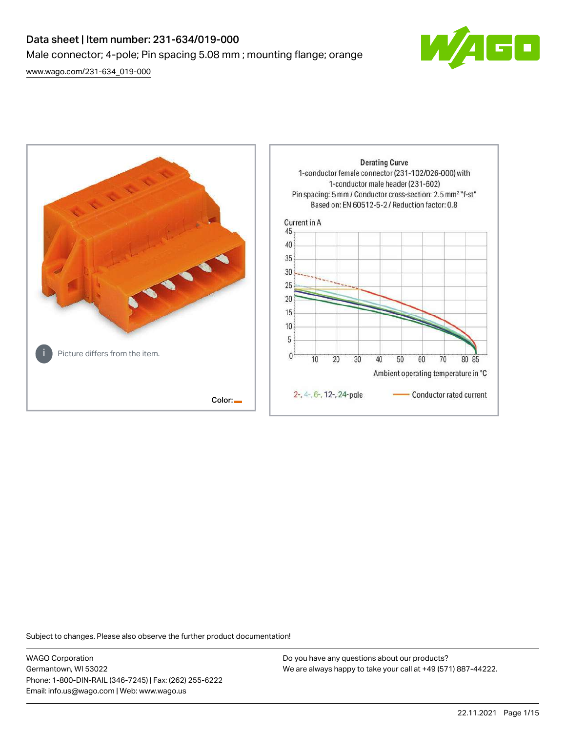# Data sheet | Item number: 231-634/019-000 Male connector; 4-pole; Pin spacing 5.08 mm ; mounting flange; orange

[www.wago.com/231-634\\_019-000](http://www.wago.com/231-634_019-000)





Subject to changes. Please also observe the further product documentation!

WAGO Corporation Germantown, WI 53022 Phone: 1-800-DIN-RAIL (346-7245) | Fax: (262) 255-6222 Email: info.us@wago.com | Web: www.wago.us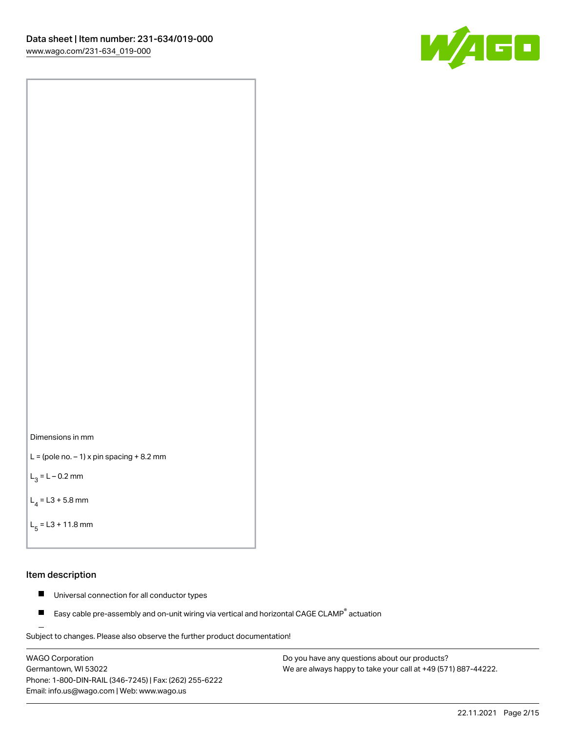



```
L = (pole no. -1) x pin spacing +8.2 mm
```
 $L_3 = L - 0.2$  mm

```
L_4 = L3 + 5.8 mm
```

```
L_{\rm g} = L3 + 11.8 mm
```
#### Item description

- $\blacksquare$ Universal connection for all conductor types
- Easy cable pre-assembly and on-unit wiring via vertical and horizontal CAGE CLAMP<sup>®</sup> actuation  $\blacksquare$

Subject to changes. Please also observe the further product documentation! For wire-to-wire and board-to-wire connections

WAGO Corporation Germantown, WI 53022 Phone: 1-800-DIN-RAIL (346-7245) | Fax: (262) 255-6222 Email: info.us@wago.com | Web: www.wago.us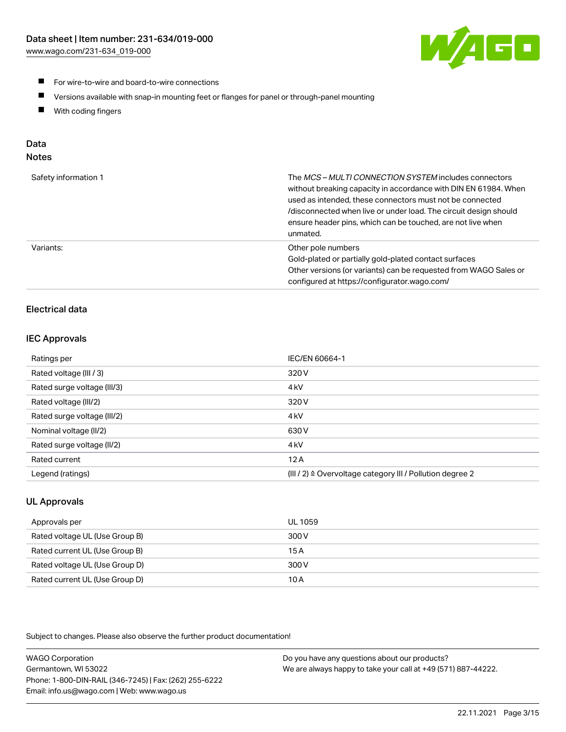

- **For wire-to-wire and board-to-wire connections**
- $\blacksquare$ Versions available with snap-in mounting feet or flanges for panel or through-panel mounting
- $\blacksquare$ With coding fingers

## Data

## Notes

| Safety information 1 | The MCS-MULTI CONNECTION SYSTEM includes connectors<br>without breaking capacity in accordance with DIN EN 61984. When<br>used as intended, these connectors must not be connected<br>/disconnected when live or under load. The circuit design should<br>ensure header pins, which can be touched, are not live when<br>unmated. |
|----------------------|-----------------------------------------------------------------------------------------------------------------------------------------------------------------------------------------------------------------------------------------------------------------------------------------------------------------------------------|
| Variants:            | Other pole numbers<br>Gold-plated or partially gold-plated contact surfaces<br>Other versions (or variants) can be requested from WAGO Sales or<br>configured at https://configurator.wago.com/                                                                                                                                   |

## Electrical data

#### IEC Approvals

| Ratings per                 | IEC/EN 60664-1                                                        |
|-----------------------------|-----------------------------------------------------------------------|
| Rated voltage (III / 3)     | 320 V                                                                 |
| Rated surge voltage (III/3) | 4 <sub>k</sub> V                                                      |
| Rated voltage (III/2)       | 320 V                                                                 |
| Rated surge voltage (III/2) | 4 <sub>k</sub> V                                                      |
| Nominal voltage (II/2)      | 630 V                                                                 |
| Rated surge voltage (II/2)  | 4 <sub>k</sub> V                                                      |
| Rated current               | 12A                                                                   |
| Legend (ratings)            | $(III / 2)$ $\triangle$ Overvoltage category III / Pollution degree 2 |

## UL Approvals

| Approvals per                  | UL 1059 |
|--------------------------------|---------|
| Rated voltage UL (Use Group B) | 300 V   |
| Rated current UL (Use Group B) | 15 A    |
| Rated voltage UL (Use Group D) | 300 V   |
| Rated current UL (Use Group D) | 10 A    |

Subject to changes. Please also observe the further product documentation!

| <b>WAGO Corporation</b>                                | Do you have any questions about our products?                 |
|--------------------------------------------------------|---------------------------------------------------------------|
| Germantown, WI 53022                                   | We are always happy to take your call at +49 (571) 887-44222. |
| Phone: 1-800-DIN-RAIL (346-7245)   Fax: (262) 255-6222 |                                                               |
| Email: info.us@wago.com   Web: www.wago.us             |                                                               |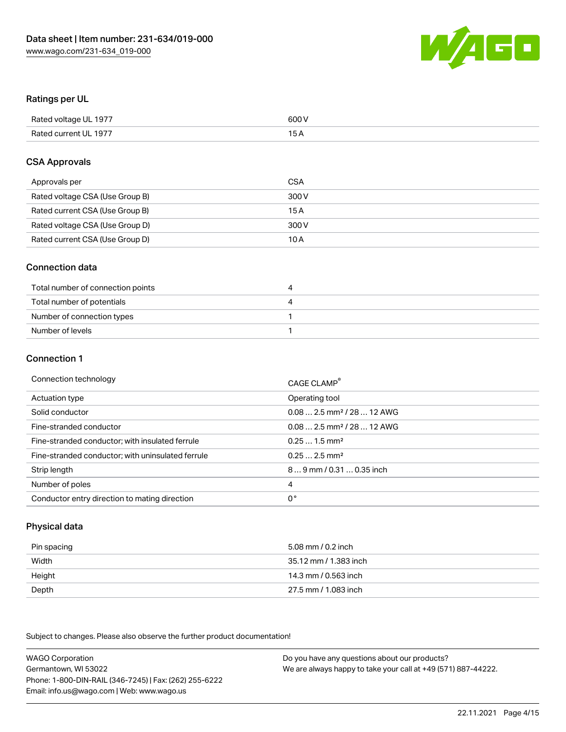

#### Ratings per UL

| Rated voltage UL 1977 | 600 V |
|-----------------------|-------|
| Rated current UL 1977 |       |

#### CSA Approvals

| Approvals per                   | CSA   |
|---------------------------------|-------|
| Rated voltage CSA (Use Group B) | 300 V |
| Rated current CSA (Use Group B) | 15 A  |
| Rated voltage CSA (Use Group D) | 300 V |
| Rated current CSA (Use Group D) | 10 A  |

#### Connection data

| Total number of connection points | ,,, |
|-----------------------------------|-----|
| Total number of potentials        | ↵   |
| Number of connection types        |     |
| Number of levels                  |     |

#### Connection 1

| Connection technology                             | CAGE CLAMP <sup>®</sup>                 |
|---------------------------------------------------|-----------------------------------------|
| Actuation type                                    | Operating tool                          |
| Solid conductor                                   | $0.08$ 2.5 mm <sup>2</sup> / 28  12 AWG |
| Fine-stranded conductor                           | $0.082.5$ mm <sup>2</sup> / 28  12 AWG  |
| Fine-stranded conductor; with insulated ferrule   | $0.251.5$ mm <sup>2</sup>               |
| Fine-stranded conductor; with uninsulated ferrule | $0.252.5$ mm <sup>2</sup>               |
| Strip length                                      | 89 mm / 0.31  0.35 inch                 |
| Number of poles                                   | 4                                       |
| Conductor entry direction to mating direction     | 0°                                      |

## Physical data

| Pin spacing | 5.08 mm / 0.2 inch    |
|-------------|-----------------------|
| Width       | 35.12 mm / 1.383 inch |
| Height      | 14.3 mm / 0.563 inch  |
| Depth       | 27.5 mm / 1.083 inch  |

Subject to changes. Please also observe the further product documentation!

WAGO Corporation Germantown, WI 53022 Phone: 1-800-DIN-RAIL (346-7245) | Fax: (262) 255-6222 Email: info.us@wago.com | Web: www.wago.us Do you have any questions about our products? We are always happy to take your call at +49 (571) 887-44222.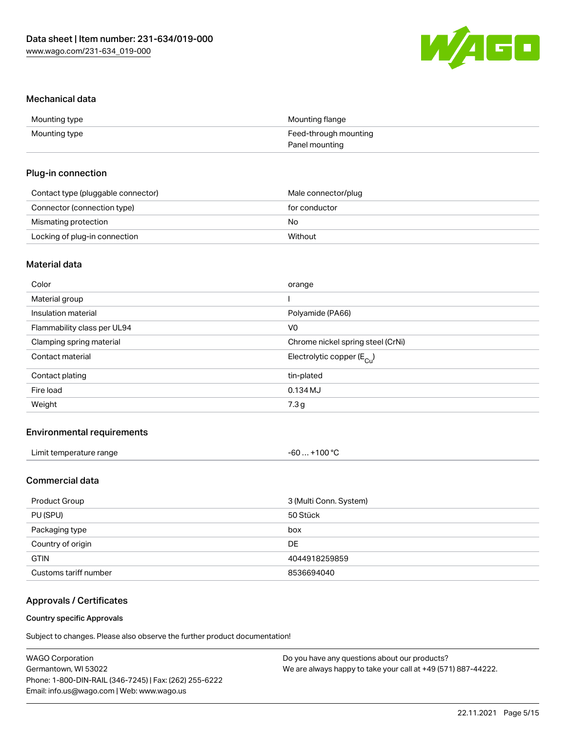

#### Mechanical data

| Mounting type | Mounting flange       |
|---------------|-----------------------|
| Mounting type | Feed-through mounting |
|               | Panel mounting        |

#### Plug-in connection

| Contact type (pluggable connector) | Male connector/plug |
|------------------------------------|---------------------|
| Connector (connection type)        | for conductor       |
| Mismating protection               | No                  |
| Locking of plug-in connection      | Without             |

## Material data

| Color                       | orange                                |
|-----------------------------|---------------------------------------|
| Material group              |                                       |
| Insulation material         | Polyamide (PA66)                      |
| Flammability class per UL94 | V <sub>0</sub>                        |
| Clamping spring material    | Chrome nickel spring steel (CrNi)     |
| Contact material            | Electrolytic copper $(E_{\text{Cl}})$ |
| Contact plating             | tin-plated                            |
| Fire load                   | 0.134 MJ                              |
| Weight                      | 7.3 g                                 |
|                             |                                       |

## Environmental requirements

| Limit temperature range | +100 $^{\circ}$ C<br>-60<br>____ |  |
|-------------------------|----------------------------------|--|
|-------------------------|----------------------------------|--|

#### Commercial data

| Product Group         | 3 (Multi Conn. System) |
|-----------------------|------------------------|
| PU (SPU)              | 50 Stück               |
| Packaging type        | box                    |
| Country of origin     | DE.                    |
| <b>GTIN</b>           | 4044918259859          |
| Customs tariff number | 8536694040             |

## Approvals / Certificates

#### Country specific Approvals

Subject to changes. Please also observe the further product documentation!

| <b>WAGO Corporation</b>                                | Do you have any questions about our products?                 |
|--------------------------------------------------------|---------------------------------------------------------------|
| Germantown, WI 53022                                   | We are always happy to take your call at +49 (571) 887-44222. |
| Phone: 1-800-DIN-RAIL (346-7245)   Fax: (262) 255-6222 |                                                               |
| Email: info.us@wago.com   Web: www.wago.us             |                                                               |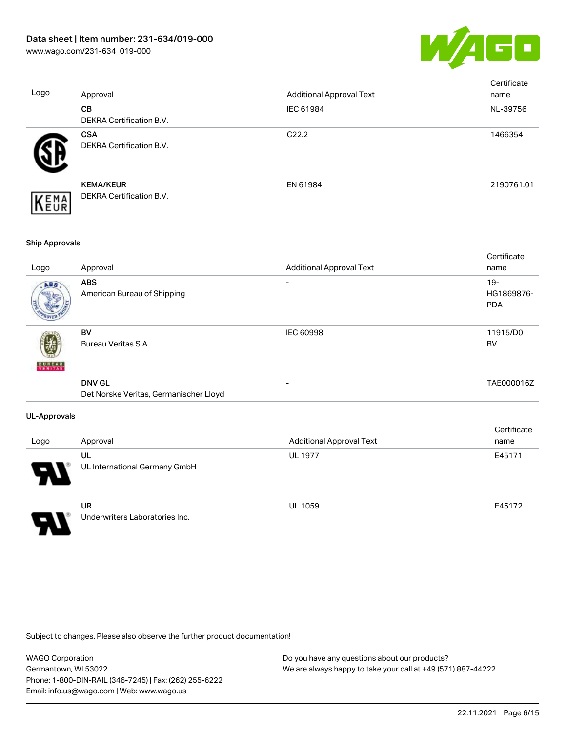

| Logo                  | Approval                                                | <b>Additional Approval Text</b> | Certificate<br>name                |
|-----------------------|---------------------------------------------------------|---------------------------------|------------------------------------|
|                       | CB<br>DEKRA Certification B.V.                          | IEC 61984                       | NL-39756                           |
|                       | <b>CSA</b><br>DEKRA Certification B.V.                  | C22.2                           | 1466354                            |
| EMA<br>EUR            | <b>KEMA/KEUR</b><br>DEKRA Certification B.V.            | EN 61984                        | 2190761.01                         |
| <b>Ship Approvals</b> |                                                         |                                 |                                    |
| Logo                  | Approval                                                | <b>Additional Approval Text</b> | Certificate<br>name                |
|                       | <b>ABS</b><br>American Bureau of Shipping               |                                 | $19 -$<br>HG1869876-<br><b>PDA</b> |
|                       | <b>BV</b><br>Bureau Veritas S.A.                        | IEC 60998                       | 11915/D0<br><b>BV</b>              |
|                       | <b>DNV GL</b><br>Det Norske Veritas, Germanischer Lloyd | $\overline{a}$                  | TAE000016Z                         |
| <b>UL-Approvals</b>   |                                                         |                                 |                                    |
| Logo                  | Approval                                                | <b>Additional Approval Text</b> | Certificate<br>name                |
|                       | UL<br>UL International Germany GmbH                     | <b>UL 1977</b>                  | E45171                             |
|                       | <b>UR</b><br>Underwriters Laboratories Inc.             | <b>UL 1059</b>                  | E45172                             |

Subject to changes. Please also observe the further product documentation!

WAGO Corporation Germantown, WI 53022 Phone: 1-800-DIN-RAIL (346-7245) | Fax: (262) 255-6222 Email: info.us@wago.com | Web: www.wago.us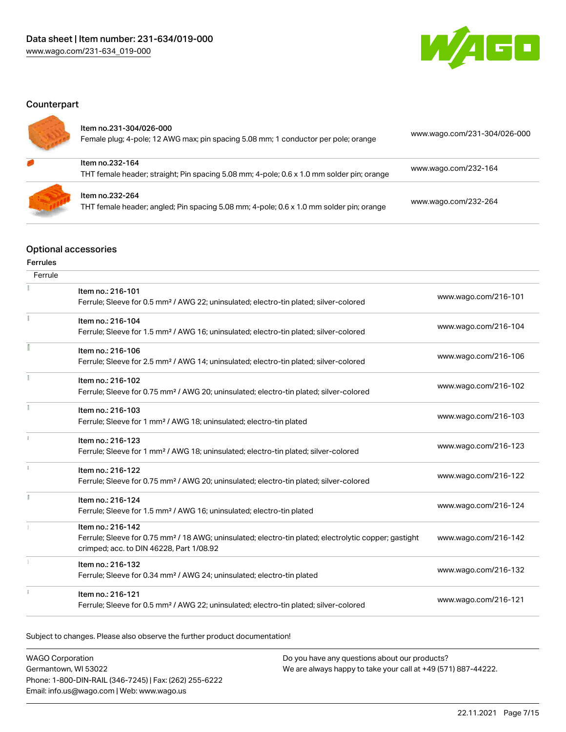

## **Counterpart**

| Item no.231-304/026-000<br>Female plug; 4-pole; 12 AWG max; pin spacing 5.08 mm; 1 conductor per pole; orange | www.wago.com/231-304/026-000 |
|---------------------------------------------------------------------------------------------------------------|------------------------------|
| Item no.232-164<br>THT female header; straight; Pin spacing 5.08 mm; 4-pole; 0.6 x 1.0 mm solder pin; orange  | www.wago.com/232-164         |
| Item no.232-264<br>THT female header; angled; Pin spacing 5.08 mm; 4-pole; 0.6 x 1.0 mm solder pin; orange    | www.wago.com/232-264         |

## Optional accessories

## Ferrules

| Ferrule |                                                                                                                                                                                    |                      |
|---------|------------------------------------------------------------------------------------------------------------------------------------------------------------------------------------|----------------------|
|         | Item no.: 216-101<br>Ferrule; Sleeve for 0.5 mm <sup>2</sup> / AWG 22; uninsulated; electro-tin plated; silver-colored                                                             | www.wago.com/216-101 |
|         | Item no.: 216-104<br>Ferrule; Sleeve for 1.5 mm <sup>2</sup> / AWG 16; uninsulated; electro-tin plated; silver-colored                                                             | www.wago.com/216-104 |
|         | Item no.: 216-106<br>Ferrule; Sleeve for 2.5 mm <sup>2</sup> / AWG 14; uninsulated; electro-tin plated; silver-colored                                                             | www.wago.com/216-106 |
|         | Item no.: 216-102<br>Ferrule; Sleeve for 0.75 mm <sup>2</sup> / AWG 20; uninsulated; electro-tin plated; silver-colored                                                            | www.wago.com/216-102 |
|         | Item no.: 216-103<br>Ferrule; Sleeve for 1 mm <sup>2</sup> / AWG 18; uninsulated; electro-tin plated                                                                               | www.wago.com/216-103 |
|         | Item no.: 216-123<br>Ferrule; Sleeve for 1 mm <sup>2</sup> / AWG 18; uninsulated; electro-tin plated; silver-colored                                                               | www.wago.com/216-123 |
|         | Item no.: 216-122<br>Ferrule; Sleeve for 0.75 mm <sup>2</sup> / AWG 20; uninsulated; electro-tin plated; silver-colored                                                            | www.wago.com/216-122 |
|         | Item no.: 216-124<br>Ferrule; Sleeve for 1.5 mm <sup>2</sup> / AWG 16; uninsulated; electro-tin plated                                                                             | www.wago.com/216-124 |
|         | Item no.: 216-142<br>Ferrule; Sleeve for 0.75 mm <sup>2</sup> / 18 AWG; uninsulated; electro-tin plated; electrolytic copper; gastight<br>crimped; acc. to DIN 46228, Part 1/08.92 | www.wago.com/216-142 |
|         | Item no.: 216-132<br>Ferrule; Sleeve for 0.34 mm <sup>2</sup> / AWG 24; uninsulated; electro-tin plated                                                                            | www.wago.com/216-132 |
|         | Item no.: 216-121<br>Ferrule; Sleeve for 0.5 mm <sup>2</sup> / AWG 22; uninsulated; electro-tin plated; silver-colored                                                             | www.wago.com/216-121 |

Subject to changes. Please also observe the further product documentation!

| <b>WAGO Corporation</b>                                | Do you have any questions about our products?                 |
|--------------------------------------------------------|---------------------------------------------------------------|
| Germantown, WI 53022                                   | We are always happy to take your call at +49 (571) 887-44222. |
| Phone: 1-800-DIN-RAIL (346-7245)   Fax: (262) 255-6222 |                                                               |
| Email: info.us@wago.com   Web: www.wago.us             |                                                               |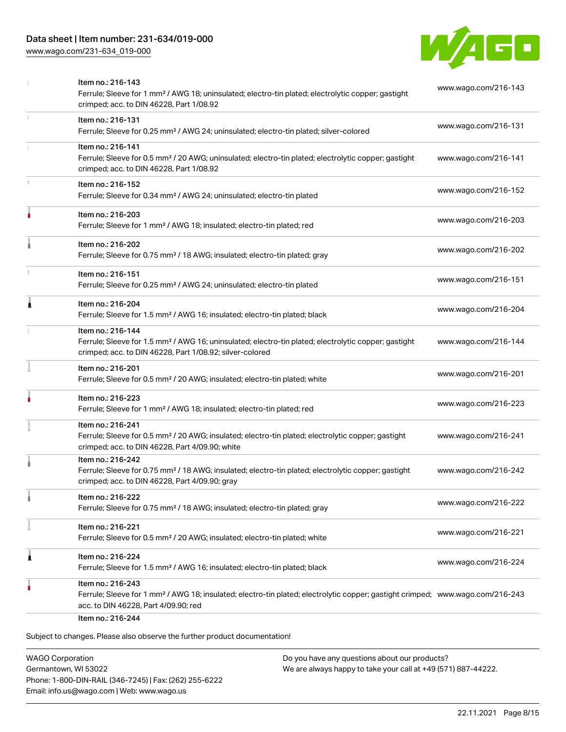## Data sheet | Item number: 231-634/019-000

[www.wago.com/231-634\\_019-000](http://www.wago.com/231-634_019-000)



| Item no.: 216-131<br>Ferrule; Sleeve for 0.25 mm <sup>2</sup> / AWG 24; uninsulated; electro-tin plated; silver-colored<br>Item no.: 216-141<br>Ferrule; Sleeve for 0.5 mm <sup>2</sup> / 20 AWG; uninsulated; electro-tin plated; electrolytic copper; gastight<br>crimped; acc. to DIN 46228, Part 1/08.92<br>Item no.: 216-152<br>Ferrule; Sleeve for 0.34 mm <sup>2</sup> / AWG 24; uninsulated; electro-tin plated<br>Item no.: 216-203<br>Ferrule; Sleeve for 1 mm <sup>2</sup> / AWG 18; insulated; electro-tin plated; red<br>Item no.: 216-202<br>Ferrule; Sleeve for 0.75 mm <sup>2</sup> / 18 AWG; insulated; electro-tin plated; gray<br>Item no.: 216-151<br>Ferrule; Sleeve for 0.25 mm <sup>2</sup> / AWG 24; uninsulated; electro-tin plated<br>Item no.: 216-204<br>Ferrule; Sleeve for 1.5 mm <sup>2</sup> / AWG 16; insulated; electro-tin plated; black<br>Item no.: 216-144<br>Ferrule; Sleeve for 1.5 mm <sup>2</sup> / AWG 16; uninsulated; electro-tin plated; electrolytic copper; gastight<br>crimped; acc. to DIN 46228, Part 1/08.92; silver-colored | www.wago.com/216-131<br>www.wago.com/216-141<br>www.wago.com/216-152<br>www.wago.com/216-203<br>www.wago.com/216-202<br>www.wago.com/216-151<br>www.wago.com/216-204<br>www.wago.com/216-144                                                                                                                                                                                                                                          |
|----------------------------------------------------------------------------------------------------------------------------------------------------------------------------------------------------------------------------------------------------------------------------------------------------------------------------------------------------------------------------------------------------------------------------------------------------------------------------------------------------------------------------------------------------------------------------------------------------------------------------------------------------------------------------------------------------------------------------------------------------------------------------------------------------------------------------------------------------------------------------------------------------------------------------------------------------------------------------------------------------------------------------------------------------------------------------------|---------------------------------------------------------------------------------------------------------------------------------------------------------------------------------------------------------------------------------------------------------------------------------------------------------------------------------------------------------------------------------------------------------------------------------------|
|                                                                                                                                                                                                                                                                                                                                                                                                                                                                                                                                                                                                                                                                                                                                                                                                                                                                                                                                                                                                                                                                                  |                                                                                                                                                                                                                                                                                                                                                                                                                                       |
|                                                                                                                                                                                                                                                                                                                                                                                                                                                                                                                                                                                                                                                                                                                                                                                                                                                                                                                                                                                                                                                                                  |                                                                                                                                                                                                                                                                                                                                                                                                                                       |
|                                                                                                                                                                                                                                                                                                                                                                                                                                                                                                                                                                                                                                                                                                                                                                                                                                                                                                                                                                                                                                                                                  |                                                                                                                                                                                                                                                                                                                                                                                                                                       |
|                                                                                                                                                                                                                                                                                                                                                                                                                                                                                                                                                                                                                                                                                                                                                                                                                                                                                                                                                                                                                                                                                  |                                                                                                                                                                                                                                                                                                                                                                                                                                       |
|                                                                                                                                                                                                                                                                                                                                                                                                                                                                                                                                                                                                                                                                                                                                                                                                                                                                                                                                                                                                                                                                                  |                                                                                                                                                                                                                                                                                                                                                                                                                                       |
|                                                                                                                                                                                                                                                                                                                                                                                                                                                                                                                                                                                                                                                                                                                                                                                                                                                                                                                                                                                                                                                                                  |                                                                                                                                                                                                                                                                                                                                                                                                                                       |
|                                                                                                                                                                                                                                                                                                                                                                                                                                                                                                                                                                                                                                                                                                                                                                                                                                                                                                                                                                                                                                                                                  |                                                                                                                                                                                                                                                                                                                                                                                                                                       |
|                                                                                                                                                                                                                                                                                                                                                                                                                                                                                                                                                                                                                                                                                                                                                                                                                                                                                                                                                                                                                                                                                  |                                                                                                                                                                                                                                                                                                                                                                                                                                       |
| Item no.: 216-201<br>Ferrule; Sleeve for 0.5 mm <sup>2</sup> / 20 AWG; insulated; electro-tin plated; white                                                                                                                                                                                                                                                                                                                                                                                                                                                                                                                                                                                                                                                                                                                                                                                                                                                                                                                                                                      | www.wago.com/216-201                                                                                                                                                                                                                                                                                                                                                                                                                  |
| Item no.: 216-223<br>Ferrule; Sleeve for 1 mm <sup>2</sup> / AWG 18; insulated; electro-tin plated; red                                                                                                                                                                                                                                                                                                                                                                                                                                                                                                                                                                                                                                                                                                                                                                                                                                                                                                                                                                          | www.wago.com/216-223                                                                                                                                                                                                                                                                                                                                                                                                                  |
| Item no.: 216-241<br>Ferrule; Sleeve for 0.5 mm <sup>2</sup> / 20 AWG; insulated; electro-tin plated; electrolytic copper; gastight<br>crimped; acc. to DIN 46228, Part 4/09.90; white                                                                                                                                                                                                                                                                                                                                                                                                                                                                                                                                                                                                                                                                                                                                                                                                                                                                                           | www.wago.com/216-241                                                                                                                                                                                                                                                                                                                                                                                                                  |
| Item no.: 216-242<br>Ferrule; Sleeve for 0.75 mm <sup>2</sup> / 18 AWG; insulated; electro-tin plated; electrolytic copper; gastight<br>crimped; acc. to DIN 46228, Part 4/09.90; gray                                                                                                                                                                                                                                                                                                                                                                                                                                                                                                                                                                                                                                                                                                                                                                                                                                                                                           | www.wago.com/216-242                                                                                                                                                                                                                                                                                                                                                                                                                  |
| Item no.: 216-222<br>Ferrule; Sleeve for 0.75 mm <sup>2</sup> / 18 AWG; insulated; electro-tin plated; gray                                                                                                                                                                                                                                                                                                                                                                                                                                                                                                                                                                                                                                                                                                                                                                                                                                                                                                                                                                      | www.wago.com/216-222                                                                                                                                                                                                                                                                                                                                                                                                                  |
|                                                                                                                                                                                                                                                                                                                                                                                                                                                                                                                                                                                                                                                                                                                                                                                                                                                                                                                                                                                                                                                                                  | www.wago.com/216-221                                                                                                                                                                                                                                                                                                                                                                                                                  |
|                                                                                                                                                                                                                                                                                                                                                                                                                                                                                                                                                                                                                                                                                                                                                                                                                                                                                                                                                                                                                                                                                  | www.wago.com/216-224                                                                                                                                                                                                                                                                                                                                                                                                                  |
|                                                                                                                                                                                                                                                                                                                                                                                                                                                                                                                                                                                                                                                                                                                                                                                                                                                                                                                                                                                                                                                                                  |                                                                                                                                                                                                                                                                                                                                                                                                                                       |
|                                                                                                                                                                                                                                                                                                                                                                                                                                                                                                                                                                                                                                                                                                                                                                                                                                                                                                                                                                                                                                                                                  | Item no.: 216-221<br>Ferrule; Sleeve for 0.5 mm <sup>2</sup> / 20 AWG; insulated; electro-tin plated; white<br>Item no.: 216-224<br>Ferrule; Sleeve for 1.5 mm <sup>2</sup> / AWG 16; insulated; electro-tin plated; black<br>Item no.: 216-243<br>Ferrule; Sleeve for 1 mm <sup>2</sup> / AWG 18; insulated; electro-tin plated; electrolytic copper; gastight crimped; www.wago.com/216-243<br>acc. to DIN 46228, Part 4/09.90; red |

WAGO Corporation Germantown, WI 53022 Phone: 1-800-DIN-RAIL (346-7245) | Fax: (262) 255-6222 Email: info.us@wago.com | Web: www.wago.us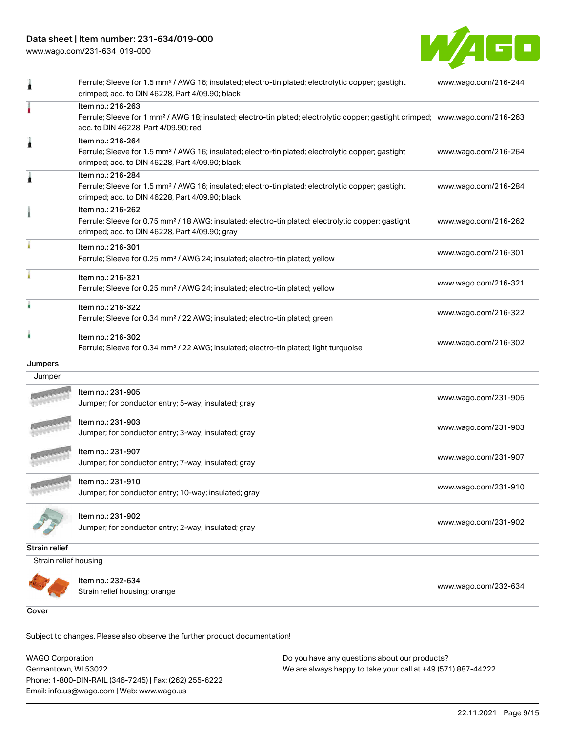## Data sheet | Item number: 231-634/019-000

[www.wago.com/231-634\\_019-000](http://www.wago.com/231-634_019-000)



|                       | Ferrule; Sleeve for 1.5 mm <sup>2</sup> / AWG 16; insulated; electro-tin plated; electrolytic copper; gastight<br>crimped; acc. to DIN 46228, Part 4/09.90; black                                       | www.wago.com/216-244 |
|-----------------------|---------------------------------------------------------------------------------------------------------------------------------------------------------------------------------------------------------|----------------------|
|                       | Item no.: 216-263<br>Ferrule; Sleeve for 1 mm <sup>2</sup> / AWG 18; insulated; electro-tin plated; electrolytic copper; gastight crimped; www.wago.com/216-263<br>acc. to DIN 46228, Part 4/09.90; red |                      |
| 1                     | Item no.: 216-264<br>Ferrule; Sleeve for 1.5 mm <sup>2</sup> / AWG 16; insulated; electro-tin plated; electrolytic copper; gastight<br>crimped; acc. to DIN 46228, Part 4/09.90; black                  | www.wago.com/216-264 |
|                       | Item no.: 216-284<br>Ferrule; Sleeve for 1.5 mm <sup>2</sup> / AWG 16; insulated; electro-tin plated; electrolytic copper; gastight<br>crimped; acc. to DIN 46228, Part 4/09.90; black                  | www.wago.com/216-284 |
|                       | Item no.: 216-262<br>Ferrule; Sleeve for 0.75 mm <sup>2</sup> / 18 AWG; insulated; electro-tin plated; electrolytic copper; gastight<br>crimped; acc. to DIN 46228, Part 4/09.90; gray                  | www.wago.com/216-262 |
|                       | Item no.: 216-301<br>Ferrule; Sleeve for 0.25 mm <sup>2</sup> / AWG 24; insulated; electro-tin plated; yellow                                                                                           | www.wago.com/216-301 |
|                       | Item no.: 216-321<br>Ferrule; Sleeve for 0.25 mm <sup>2</sup> / AWG 24; insulated; electro-tin plated; yellow                                                                                           | www.wago.com/216-321 |
|                       | Item no.: 216-322<br>Ferrule; Sleeve for 0.34 mm <sup>2</sup> / 22 AWG; insulated; electro-tin plated; green                                                                                            | www.wago.com/216-322 |
|                       | Item no.: 216-302<br>Ferrule; Sleeve for 0.34 mm <sup>2</sup> / 22 AWG; insulated; electro-tin plated; light turquoise                                                                                  | www.wago.com/216-302 |
| Jumpers               |                                                                                                                                                                                                         |                      |
| Jumper                |                                                                                                                                                                                                         |                      |
|                       | Item no.: 231-905<br>Jumper; for conductor entry; 5-way; insulated; gray                                                                                                                                | www.wago.com/231-905 |
|                       | Item no.: 231-903<br>Jumper; for conductor entry; 3-way; insulated; gray                                                                                                                                | www.wago.com/231-903 |
|                       | Item no.: 231-907<br>Jumper; for conductor entry; 7-way; insulated; gray                                                                                                                                | www.wago.com/231-907 |
|                       | Item no.: 231-910<br>Jumper; for conductor entry; 10-way; insulated; gray                                                                                                                               | www.wago.com/231-910 |
|                       | Item no.: 231-902<br>Jumper; for conductor entry; 2-way; insulated; gray                                                                                                                                | www.wago.com/231-902 |
| Strain relief         |                                                                                                                                                                                                         |                      |
| Strain relief housing |                                                                                                                                                                                                         |                      |
|                       | Item no.: 232-634<br>Strain relief housing; orange                                                                                                                                                      | www.wago.com/232-634 |
| Cover                 |                                                                                                                                                                                                         |                      |

Subject to changes. Please also observe the further product documentation! Cover

WAGO Corporation Germantown, WI 53022 Phone: 1-800-DIN-RAIL (346-7245) | Fax: (262) 255-6222 Email: info.us@wago.com | Web: www.wago.us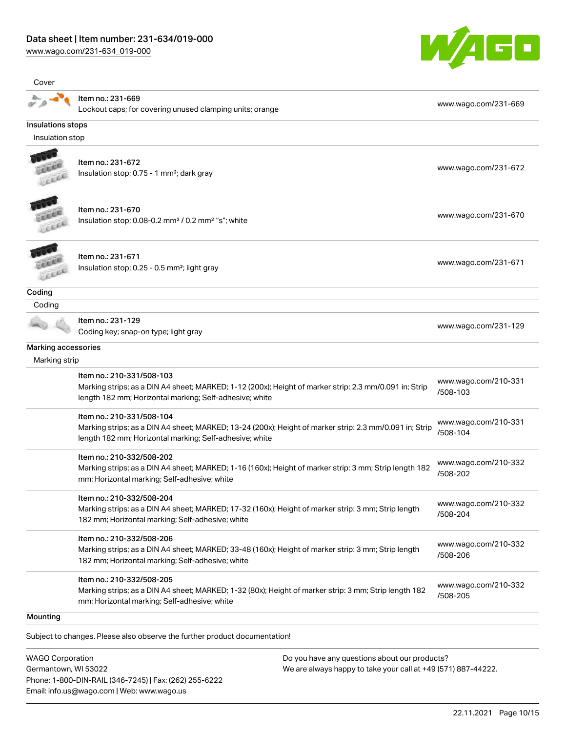[www.wago.com/231-634\\_019-000](http://www.wago.com/231-634_019-000)



| Cover               |                                                                                                                                                                                                 |                                  |
|---------------------|-------------------------------------------------------------------------------------------------------------------------------------------------------------------------------------------------|----------------------------------|
|                     | Item no.: 231-669<br>Lockout caps; for covering unused clamping units; orange                                                                                                                   | www.wago.com/231-669             |
| Insulations stops   |                                                                                                                                                                                                 |                                  |
| Insulation stop     |                                                                                                                                                                                                 |                                  |
|                     | Item no.: 231-672<br>Insulation stop; 0.75 - 1 mm <sup>2</sup> ; dark gray                                                                                                                      | www.wago.com/231-672             |
|                     | Item no.: 231-670<br>Insulation stop; 0.08-0.2 mm <sup>2</sup> / 0.2 mm <sup>2</sup> "s"; white                                                                                                 | www.wago.com/231-670             |
|                     | Item no.: 231-671<br>Insulation stop; 0.25 - 0.5 mm <sup>2</sup> ; light gray                                                                                                                   | www.wago.com/231-671             |
| Coding              |                                                                                                                                                                                                 |                                  |
| Coding              |                                                                                                                                                                                                 |                                  |
|                     | Item no.: 231-129<br>Coding key; snap-on type; light gray                                                                                                                                       | www.wago.com/231-129             |
| Marking accessories |                                                                                                                                                                                                 |                                  |
| Marking strip       |                                                                                                                                                                                                 |                                  |
|                     | Item no.: 210-331/508-103<br>Marking strips; as a DIN A4 sheet; MARKED; 1-12 (200x); Height of marker strip: 2.3 mm/0.091 in; Strip<br>length 182 mm; Horizontal marking; Self-adhesive; white  | www.wago.com/210-331<br>/508-103 |
|                     | Item no.: 210-331/508-104<br>Marking strips; as a DIN A4 sheet; MARKED; 13-24 (200x); Height of marker strip: 2.3 mm/0.091 in; Strip<br>length 182 mm; Horizontal marking; Self-adhesive; white | www.wago.com/210-331<br>/508-104 |
|                     | Item no.: 210-332/508-202<br>Marking strips; as a DIN A4 sheet; MARKED; 1-16 (160x); Height of marker strip: 3 mm; Strip length 182<br>mm; Horizontal marking; Self-adhesive; white             | www.wago.com/210-332<br>/508-202 |
|                     | Item no.: 210-332/508-204<br>Marking strips; as a DIN A4 sheet; MARKED; 17-32 (160x); Height of marker strip: 3 mm; Strip length<br>182 mm; Horizontal marking; Self-adhesive; white            | www.wago.com/210-332<br>/508-204 |
|                     | Item no.: 210-332/508-206<br>Marking strips; as a DIN A4 sheet; MARKED; 33-48 (160x); Height of marker strip: 3 mm; Strip length<br>182 mm; Horizontal marking; Self-adhesive; white            | www.wago.com/210-332<br>/508-206 |
|                     | Item no.: 210-332/508-205<br>Marking strips; as a DIN A4 sheet; MARKED; 1-32 (80x); Height of marker strip: 3 mm; Strip length 182<br>mm; Horizontal marking; Self-adhesive; white              | www.wago.com/210-332<br>/508-205 |
| Mounting            |                                                                                                                                                                                                 |                                  |

Subject to changes. Please also observe the further product documentation!

WAGO Corporation Germantown, WI 53022 Phone: 1-800-DIN-RAIL (346-7245) | Fax: (262) 255-6222 Email: info.us@wago.com | Web: www.wago.us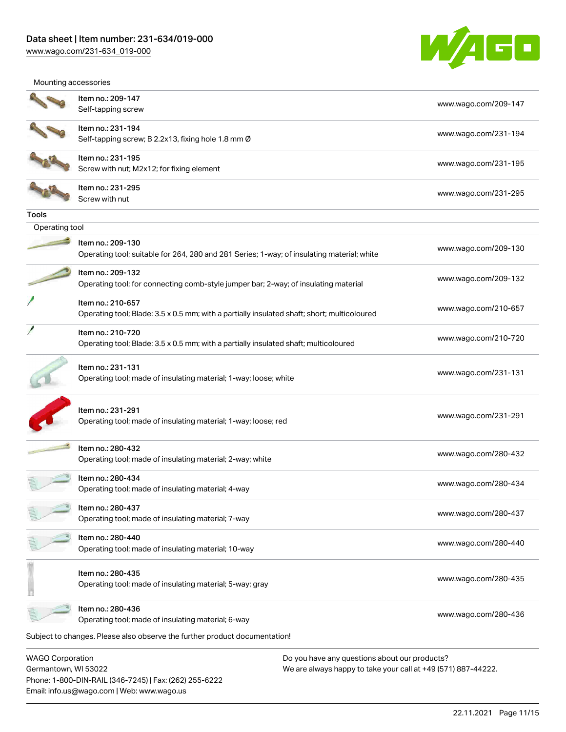Email: info.us@wago.com | Web: www.wago.us

[www.wago.com/231-634\\_019-000](http://www.wago.com/231-634_019-000)



Mounting accessories

|                                                 | Item no.: 209-147                                                                                                |                                                                                                                | www.wago.com/209-147 |
|-------------------------------------------------|------------------------------------------------------------------------------------------------------------------|----------------------------------------------------------------------------------------------------------------|----------------------|
|                                                 | Self-tapping screw                                                                                               |                                                                                                                |                      |
|                                                 | Item no.: 231-194<br>Self-tapping screw; B 2.2x13, fixing hole 1.8 mm Ø                                          |                                                                                                                | www.wago.com/231-194 |
|                                                 | Item no.: 231-195<br>Screw with nut; M2x12; for fixing element                                                   |                                                                                                                | www.wago.com/231-195 |
|                                                 | Item no.: 231-295<br>Screw with nut                                                                              |                                                                                                                | www.wago.com/231-295 |
| <b>Tools</b>                                    |                                                                                                                  |                                                                                                                |                      |
| Operating tool                                  |                                                                                                                  |                                                                                                                |                      |
|                                                 | Item no.: 209-130<br>Operating tool; suitable for 264, 280 and 281 Series; 1-way; of insulating material; white  |                                                                                                                | www.wago.com/209-130 |
|                                                 | Item no.: 209-132<br>Operating tool; for connecting comb-style jumper bar; 2-way; of insulating material         |                                                                                                                | www.wago.com/209-132 |
|                                                 | Item no.: 210-657<br>Operating tool; Blade: 3.5 x 0.5 mm; with a partially insulated shaft; short; multicoloured |                                                                                                                | www.wago.com/210-657 |
|                                                 | Item no.: 210-720<br>Operating tool; Blade: 3.5 x 0.5 mm; with a partially insulated shaft; multicoloured        |                                                                                                                | www.wago.com/210-720 |
|                                                 | Item no.: 231-131<br>Operating tool; made of insulating material; 1-way; loose; white                            |                                                                                                                | www.wago.com/231-131 |
|                                                 | Item no.: 231-291<br>Operating tool; made of insulating material; 1-way; loose; red                              |                                                                                                                | www.wago.com/231-291 |
|                                                 | Item no.: 280-432<br>Operating tool; made of insulating material; 2-way; white                                   |                                                                                                                | www.wago.com/280-432 |
|                                                 | Item no.: 280-434<br>Operating tool; made of insulating material; 4-way                                          |                                                                                                                | www.wago.com/280-434 |
|                                                 | Item no.: 280-437<br>Operating tool; made of insulating material; 7-way                                          |                                                                                                                | www.wago.com/280-437 |
|                                                 | Item no.: 280-440<br>Operating tool; made of insulating material; 10-way                                         |                                                                                                                | www.wago.com/280-440 |
|                                                 | Item no.: 280-435<br>Operating tool; made of insulating material; 5-way; gray                                    |                                                                                                                | www.wago.com/280-435 |
|                                                 | Item no.: 280-436<br>Operating tool; made of insulating material; 6-way                                          |                                                                                                                | www.wago.com/280-436 |
|                                                 | Subject to changes. Please also observe the further product documentation!                                       |                                                                                                                |                      |
| <b>WAGO Corporation</b><br>Germantown, WI 53022 | Phone: 1-800-DIN-RAIL (346-7245)   Fax: (262) 255-6222                                                           | Do you have any questions about our products?<br>We are always happy to take your call at +49 (571) 887-44222. |                      |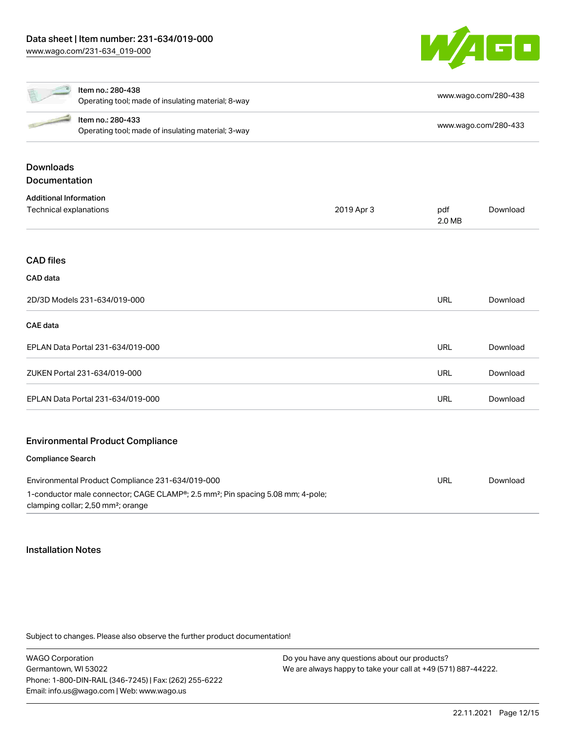

|                               | Item no.: 280-438                                                                                                                                          |            |               | www.wago.com/280-438 |
|-------------------------------|------------------------------------------------------------------------------------------------------------------------------------------------------------|------------|---------------|----------------------|
|                               | Operating tool; made of insulating material; 8-way                                                                                                         |            |               |                      |
|                               | Item no.: 280-433                                                                                                                                          |            |               | www.wago.com/280-433 |
|                               | Operating tool; made of insulating material; 3-way                                                                                                         |            |               |                      |
| <b>Downloads</b>              |                                                                                                                                                            |            |               |                      |
| <b>Documentation</b>          |                                                                                                                                                            |            |               |                      |
| <b>Additional Information</b> |                                                                                                                                                            |            |               |                      |
| Technical explanations        |                                                                                                                                                            | 2019 Apr 3 | pdf<br>2.0 MB | Download             |
| <b>CAD files</b>              |                                                                                                                                                            |            |               |                      |
|                               |                                                                                                                                                            |            |               |                      |
| CAD data                      |                                                                                                                                                            |            |               |                      |
|                               | 2D/3D Models 231-634/019-000                                                                                                                               |            | <b>URL</b>    | Download             |
| <b>CAE</b> data               |                                                                                                                                                            |            |               |                      |
|                               | EPLAN Data Portal 231-634/019-000                                                                                                                          |            | <b>URL</b>    | Download             |
|                               | ZUKEN Portal 231-634/019-000                                                                                                                               |            | <b>URL</b>    | Download             |
|                               | EPLAN Data Portal 231-634/019-000                                                                                                                          |            | <b>URL</b>    | Download             |
|                               | <b>Environmental Product Compliance</b>                                                                                                                    |            |               |                      |
| <b>Compliance Search</b>      |                                                                                                                                                            |            |               |                      |
|                               | Environmental Product Compliance 231-634/019-000                                                                                                           |            | <b>URL</b>    | Download             |
|                               | 1-conductor male connector; CAGE CLAMP <sup>®</sup> ; 2.5 mm <sup>2</sup> ; Pin spacing 5.08 mm; 4-pole;<br>clamping collar; 2,50 mm <sup>2</sup> ; orange |            |               |                      |

## Installation Notes

Subject to changes. Please also observe the further product documentation!

WAGO Corporation Germantown, WI 53022 Phone: 1-800-DIN-RAIL (346-7245) | Fax: (262) 255-6222 Email: info.us@wago.com | Web: www.wago.us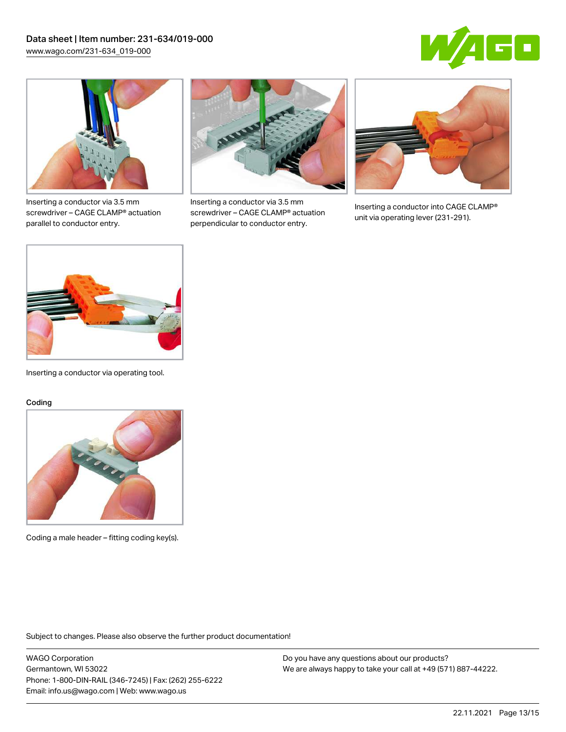



Inserting a conductor via 3.5 mm screwdriver – CAGE CLAMP® actuation parallel to conductor entry.



Inserting a conductor via 3.5 mm screwdriver – CAGE CLAMP® actuation perpendicular to conductor entry.



Inserting a conductor into CAGE CLAMP® unit via operating lever (231-291).



Inserting a conductor via operating tool.

#### Coding



Coding a male header – fitting coding key(s).

Subject to changes. Please also observe the further product documentation!

WAGO Corporation Germantown, WI 53022 Phone: 1-800-DIN-RAIL (346-7245) | Fax: (262) 255-6222 Email: info.us@wago.com | Web: www.wago.us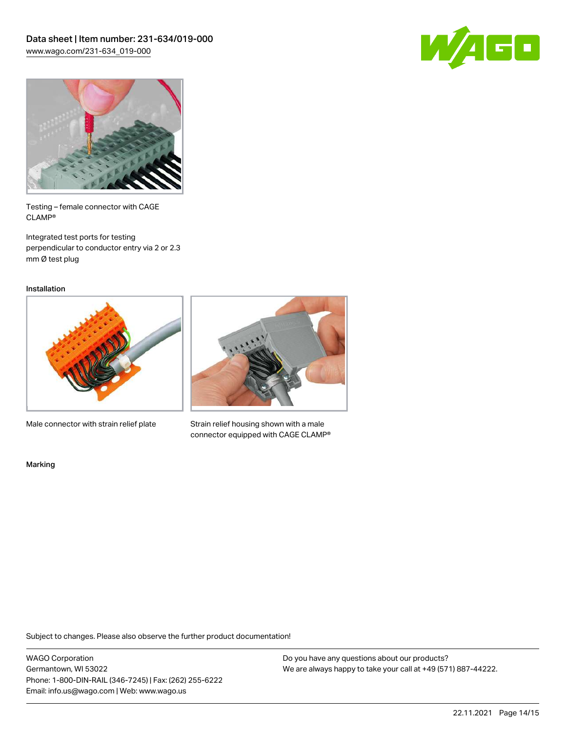



Testing – female connector with CAGE CLAMP®

Integrated test ports for testing perpendicular to conductor entry via 2 or 2.3 mm Ø test plug

Installation



Male connector with strain relief plate



Strain relief housing shown with a male connector equipped with CAGE CLAMP®

Marking

Subject to changes. Please also observe the further product documentation!

WAGO Corporation Germantown, WI 53022 Phone: 1-800-DIN-RAIL (346-7245) | Fax: (262) 255-6222 Email: info.us@wago.com | Web: www.wago.us